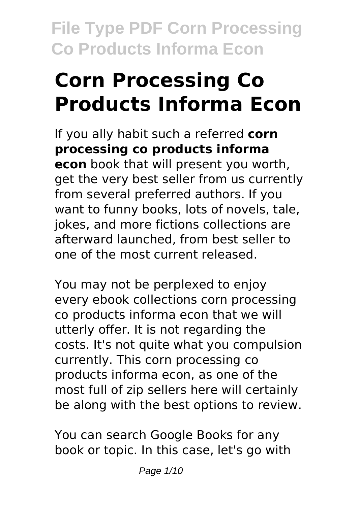# **Corn Processing Co Products Informa Econ**

If you ally habit such a referred **corn processing co products informa econ** book that will present you worth, get the very best seller from us currently from several preferred authors. If you want to funny books, lots of novels, tale, jokes, and more fictions collections are afterward launched, from best seller to one of the most current released.

You may not be perplexed to enjoy every ebook collections corn processing co products informa econ that we will utterly offer. It is not regarding the costs. It's not quite what you compulsion currently. This corn processing co products informa econ, as one of the most full of zip sellers here will certainly be along with the best options to review.

You can search Google Books for any book or topic. In this case, let's go with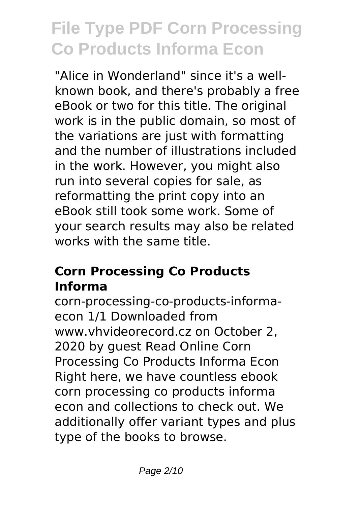"Alice in Wonderland" since it's a wellknown book, and there's probably a free eBook or two for this title. The original work is in the public domain, so most of the variations are just with formatting and the number of illustrations included in the work. However, you might also run into several copies for sale, as reformatting the print copy into an eBook still took some work. Some of your search results may also be related works with the same title.

#### **Corn Processing Co Products Informa**

corn-processing-co-products-informaecon 1/1 Downloaded from www.vhvideorecord.cz on October 2, 2020 by guest Read Online Corn Processing Co Products Informa Econ Right here, we have countless ebook corn processing co products informa econ and collections to check out. We additionally offer variant types and plus type of the books to browse.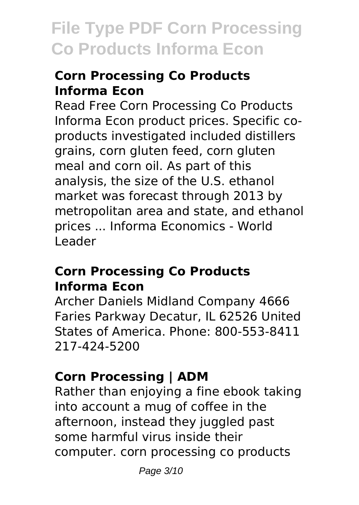### **Corn Processing Co Products Informa Econ**

Read Free Corn Processing Co Products Informa Econ product prices. Specific coproducts investigated included distillers grains, corn gluten feed, corn gluten meal and corn oil. As part of this analysis, the size of the U.S. ethanol market was forecast through 2013 by metropolitan area and state, and ethanol prices ... Informa Economics - World Leader

#### **Corn Processing Co Products Informa Econ**

Archer Daniels Midland Company 4666 Faries Parkway Decatur, IL 62526 United States of America. Phone: 800-553-8411 217-424-5200

### **Corn Processing | ADM**

Rather than enjoying a fine ebook taking into account a mug of coffee in the afternoon, instead they juggled past some harmful virus inside their computer. corn processing co products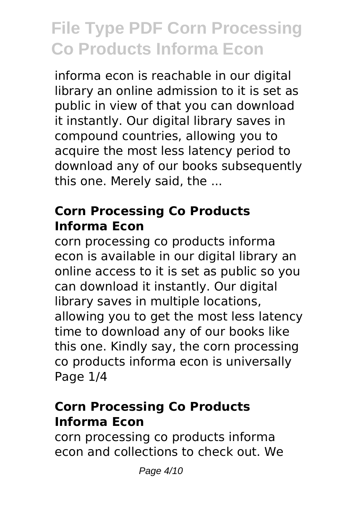informa econ is reachable in our digital library an online admission to it is set as public in view of that you can download it instantly. Our digital library saves in compound countries, allowing you to acquire the most less latency period to download any of our books subsequently this one. Merely said, the ...

#### **Corn Processing Co Products Informa Econ**

corn processing co products informa econ is available in our digital library an online access to it is set as public so you can download it instantly. Our digital library saves in multiple locations, allowing you to get the most less latency time to download any of our books like this one. Kindly say, the corn processing co products informa econ is universally Page 1/4

#### **Corn Processing Co Products Informa Econ**

corn processing co products informa econ and collections to check out. We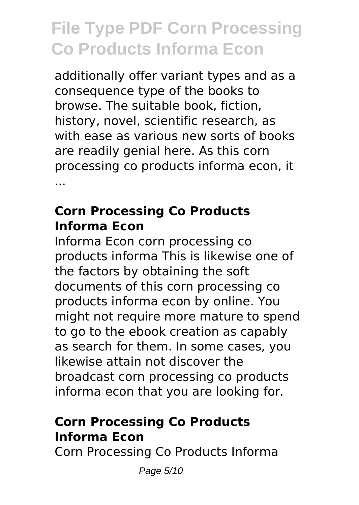additionally offer variant types and as a consequence type of the books to browse. The suitable book, fiction, history, novel, scientific research, as with ease as various new sorts of books are readily genial here. As this corn processing co products informa econ, it ...

#### **Corn Processing Co Products Informa Econ**

Informa Econ corn processing co products informa This is likewise one of the factors by obtaining the soft documents of this corn processing co products informa econ by online. You might not require more mature to spend to go to the ebook creation as capably as search for them. In some cases, you likewise attain not discover the broadcast corn processing co products informa econ that you are looking for.

### **Corn Processing Co Products Informa Econ**

Corn Processing Co Products Informa

Page 5/10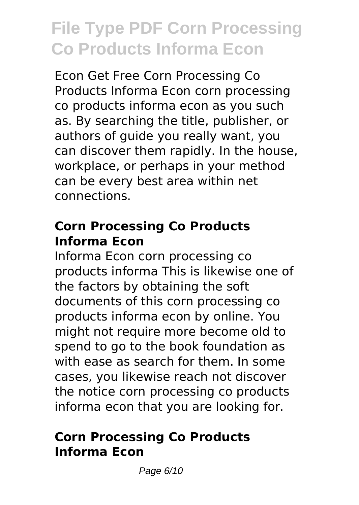Econ Get Free Corn Processing Co Products Informa Econ corn processing co products informa econ as you such as. By searching the title, publisher, or authors of guide you really want, you can discover them rapidly. In the house, workplace, or perhaps in your method can be every best area within net connections.

#### **Corn Processing Co Products Informa Econ**

Informa Econ corn processing co products informa This is likewise one of the factors by obtaining the soft documents of this corn processing co products informa econ by online. You might not require more become old to spend to go to the book foundation as with ease as search for them. In some cases, you likewise reach not discover the notice corn processing co products informa econ that you are looking for.

#### **Corn Processing Co Products Informa Econ**

Page 6/10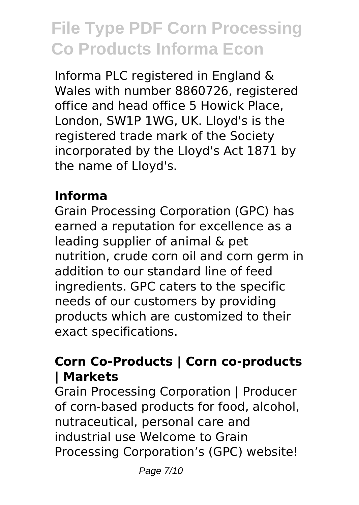Informa PLC registered in England & Wales with number 8860726, registered office and head office 5 Howick Place, London, SW1P 1WG, UK. Lloyd's is the registered trade mark of the Society incorporated by the Lloyd's Act 1871 by the name of Lloyd's.

### **Informa**

Grain Processing Corporation (GPC) has earned a reputation for excellence as a leading supplier of animal & pet nutrition, crude corn oil and corn germ in addition to our standard line of feed ingredients. GPC caters to the specific needs of our customers by providing products which are customized to their exact specifications.

#### **Corn Co-Products | Corn co-products | Markets**

Grain Processing Corporation | Producer of corn-based products for food, alcohol, nutraceutical, personal care and industrial use Welcome to Grain Processing Corporation's (GPC) website!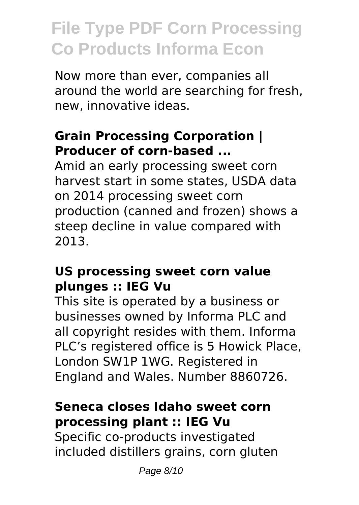Now more than ever, companies all around the world are searching for fresh, new, innovative ideas.

### **Grain Processing Corporation | Producer of corn-based ...**

Amid an early processing sweet corn harvest start in some states, USDA data on 2014 processing sweet corn production (canned and frozen) shows a steep decline in value compared with 2013.

#### **US processing sweet corn value plunges :: IEG Vu**

This site is operated by a business or businesses owned by Informa PLC and all copyright resides with them. Informa PLC's registered office is 5 Howick Place, London SW1P 1WG. Registered in England and Wales. Number 8860726.

#### **Seneca closes Idaho sweet corn processing plant :: IEG Vu**

Specific co-products investigated included distillers grains, corn gluten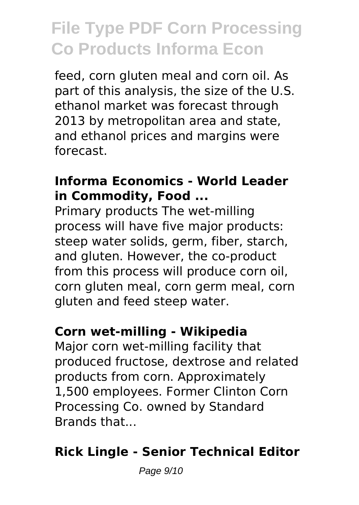feed, corn gluten meal and corn oil. As part of this analysis, the size of the U.S. ethanol market was forecast through 2013 by metropolitan area and state, and ethanol prices and margins were forecast.

#### **Informa Economics - World Leader in Commodity, Food ...**

Primary products The wet-milling process will have five major products: steep water solids, germ, fiber, starch, and gluten. However, the co-product from this process will produce corn oil, corn gluten meal, corn germ meal, corn gluten and feed steep water.

#### **Corn wet-milling - Wikipedia**

Major corn wet-milling facility that produced fructose, dextrose and related products from corn. Approximately 1,500 employees. Former Clinton Corn Processing Co. owned by Standard Brands that...

### **Rick Lingle - Senior Technical Editor**

Page 9/10